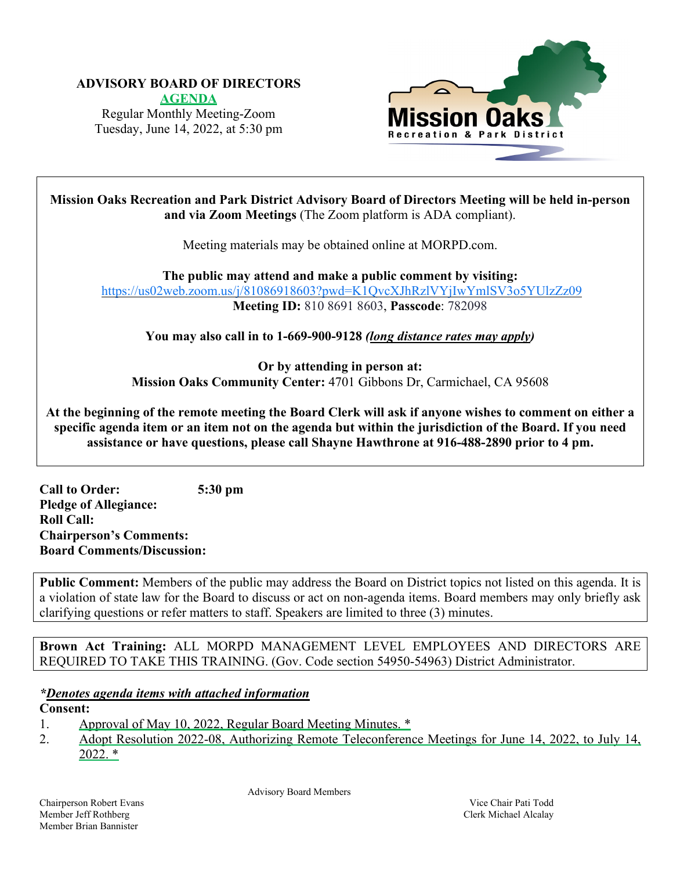# **ADVISORY BOARD OF DIRECTORS**

**AGEN[DA](https://www.morpd.com/files/dd214cb94/00.0-FULL+AGENDA+June+14%2C+2022+Advisory+Board+Meeting.pdf)** Regular Monthly Meeting-Zoom Tuesday, June 14, 2022, at 5:30 pm



**Mission Oaks Recreation and Park District Advisory Board of Directors Meeting will be held in-person and via Zoom Meetings** (The Zoom platform is ADA compliant).

Meeting materials may be obtained online at MORPD.com.

**The public may attend and make a public comment by visiting:**  <https://us02web.zoom.us/j/81086918603?pwd=K1QvcXJhRzlVYjIwYmlSV3o5YUlzZz09> **Meeting ID:** 810 8691 8603, **Passcode**: 782098

**You may also call in to 1-669-900-9128** *(long distance rates may apply)* 

**Or by attending in person at: Mission Oaks Community Center:** 4701 Gibbons Dr, Carmichael, CA 95608

**At the beginning of the remote meeting the Board Clerk will ask if anyone wishes to comment on either a specific agenda item or an item not on the agenda but within the jurisdiction of the Board. If you need assistance or have questions, please call Shayne Hawthrone at 916-488-2890 prior to 4 pm.** 

**Call to Order: 5:30 pm Pledge of Allegiance: Roll Call: Chairperson's Comments: Board Comments/Discussion:**

**Public Comment:** Members of the public may address the Board on District topics not listed on this agenda. It is a violation of state law for the Board to discuss or act on non-agenda items. Board members may only briefly ask clarifying questions or refer matters to staff. Speakers are limited to three (3) minutes.

**Brown Act Training:** ALL MORPD MANAGEMENT LEVEL EMPLOYEES AND DIRECTORS ARE REQUIRED TO TAKE THIS TRAINING. (Gov. Code section 54950-54963) District Administrator.

## *\*Denotes agenda items with attached information*

#### **Consent:**

- 1. [Approval of May 10, 2022, Regular Board Meeting Minutes. \\*](https://www.morpd.com/files/421105830/01.0-May+Meeting+Minutes.pdf)
- 2. [Adopt Resolution 2022-08, Authorizing Remote](https://www.morpd.com/files/8f5c2e8bb/02.0-Staff+report+Resolution.pdf) Teleconference Meetings for June 14, 2022, to July 14, [2022. \\*](https://www.morpd.com/files/8f5c2e8bb/02.0-Staff+report+Resolution.pdf)

Advisory Board Members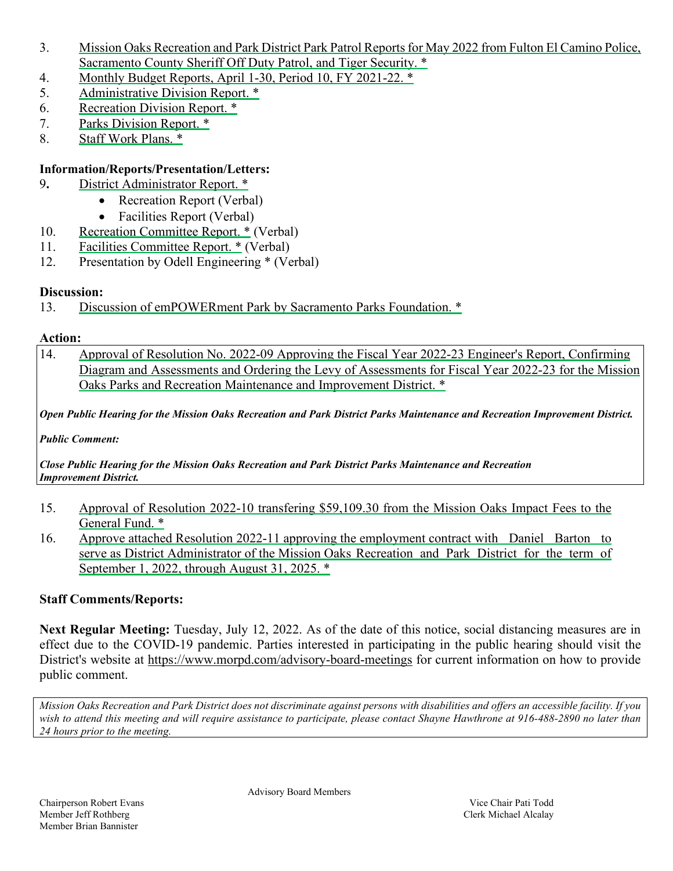- 3. Mission Oaks Recreation and Park District Park Patrol Reports for [May 2022 from Fulton El](https://www.morpd.com/files/08766c060/3.0-Park+Patrol+logs.pdf) Camino Police, [Sacramento County Sheriff](https://www.morpd.com/files/08766c060/3.0-Park+Patrol+logs.pdf) Off Duty Patrol, and Tiger Security. \*
- 4. [Monthly Budget Reports, April 1-30, Period 10, FY 2021-22. \\*](https://www.morpd.com/files/4c6018d97/4.0-Period+10+-+STAFF+REPORT.pdf)
- 5. Administrative [Division Report. \\*](https://www.morpd.com/files/56c729e60/05.0-Administrative+Division+report+June1.pdf)
- 6. Recreation [Division Report. \\*](https://www.morpd.com/files/0edb3472f/06.0-Recreation+Division+Report+June+2022.pdf)
- 7. Parks [Division Report. \\*](https://www.morpd.com/files/741b5077e/7.0-Staff+report+%28Parks%29.pdf)
- 8. Staff Work [Plans. \\*](https://www.morpd.com/files/3ae52f507/8.0-Staff+work+plans.pdf)

## **Information/Reports/Presentation/Letters:**

- 9**.** District [Administrator Report. \\*](https://www.morpd.com/files/5fa285546/9.0-staff+report+confrence+5-26-22.pdf)
	- Recreation Report (Verbal)
	- Facilities Report (Verbal)
- 10. Recreation [Committee Report. \\*](https://www.morpd.com/files/16a0c5ca0/10.0-Rec+Committee+meeting+agenda+5-26-22.pdf) (Verbal)
- 11. Facilities [Committee Report. \\*](https://www.morpd.com/files/acbd291d7/11.0-Facilities+committee+agenda+6-2-2022.pdf) (Verbal)
- 12. Presentation by Odell Engineering \* (Verbal)

#### **Discussion:**

13. [Discussion of emPOWERment Park by Sacramento Parks Foundation. \\*](https://www.morpd.com/files/178e79745/13.0-Sacramento+Parks+Foundation+-+EmPOWERment+Park+Project+Partnership+Presentation+6-2-22.pdf)

#### **Action:**

14. Approval of Resolution No. 2022-09 Approving the Fiscal Year 2022-23 Engineer's Report, Confirming [Diagram and Assessments and Ordering the Levy of Assessments for Fiscal Year 2022-23 for the Mission](https://www.morpd.com/files/838cdcbdb/14.0-Staff+Engineer%27s+Report+%2806-14-2022%29.pdf)  [Oaks Parks and Recreation Maintenance and Improvement District. \\*](https://www.morpd.com/files/838cdcbdb/14.0-Staff+Engineer%27s+Report+%2806-14-2022%29.pdf)

Open Public Hearing for the Mission Oaks Recreation and Park District Parks Maintenance and Recreation Improvement District.

*Public Comment:* 

*Close Public Hearing for the Mission Oaks Recreation and Park District Parks Maintenance and Recreation Improvement District.*

- 15. [Approval of Resolution 2022-10 transfering \\$59,109.30 from the Mission Oaks Impact Fees to the](https://www.morpd.com/files/478db7220/15.0-Resolution+Staff+Report.pdf)  [General Fund. \\*](https://www.morpd.com/files/478db7220/15.0-Resolution+Staff+Report.pdf)
- 16. [Approve attached Resolution 2022-11 approving the employment contract with Daniel Barton to](https://www.morpd.com/files/49a75acf2/16.0-Staff+Report+Resolution+2022-11.pdf)  [serve as District Administrator of the Mission Oaks Recreation and Park District for the term of](https://www.morpd.com/files/49a75acf2/16.0-Staff+Report+Resolution+2022-11.pdf)  [September 1, 2022, through August 31, 2025. \\*](https://www.morpd.com/files/49a75acf2/16.0-Staff+Report+Resolution+2022-11.pdf)

## **Staff Comments/Reports:**

**Next Regular Meeting:** Tuesday, July 12, 2022. As of the date of this notice, social distancing measures are in effect due to the COVID-19 pandemic. Parties interested in participating in the public hearing should visit the District's website at <https://www.morpd.com/advisory-board-meetings> for current information on how to provide public comment.

*Mission Oaks Recreation and Park District does not discriminate against persons with disabilities and offers an accessible facility. If you wish to attend this meeting and will require assistance to participate, please contact Shayne Hawthrone at 916-488-2890 no later than 24 hours prior to the meeting.*